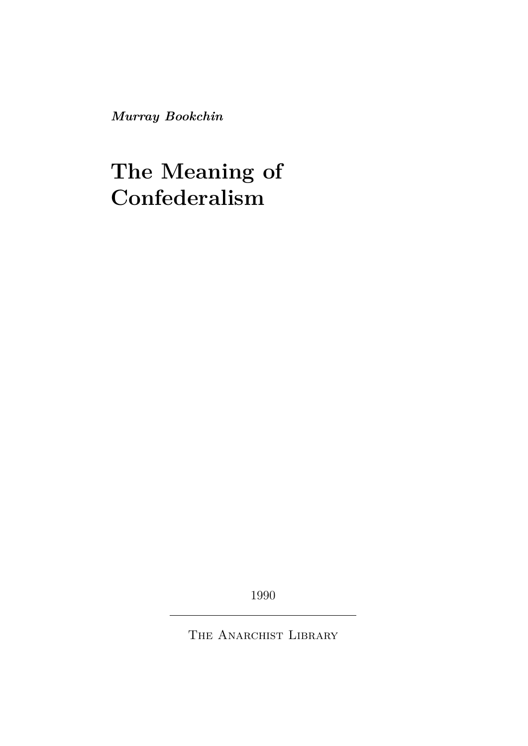*Murray Bookchin*

# **The Meaning of Confederalism**

1990

THE ANARCHIST LIBRARY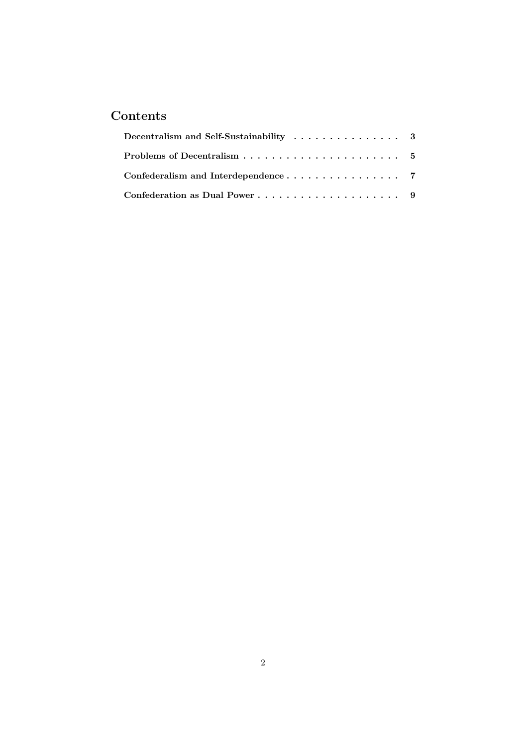## **Contents**

| Decentralism and Self-Sustainability $\dots \dots \dots \dots \dots$ 3 |  |  |  |  |  |  |  |  |
|------------------------------------------------------------------------|--|--|--|--|--|--|--|--|
|                                                                        |  |  |  |  |  |  |  |  |
|                                                                        |  |  |  |  |  |  |  |  |
|                                                                        |  |  |  |  |  |  |  |  |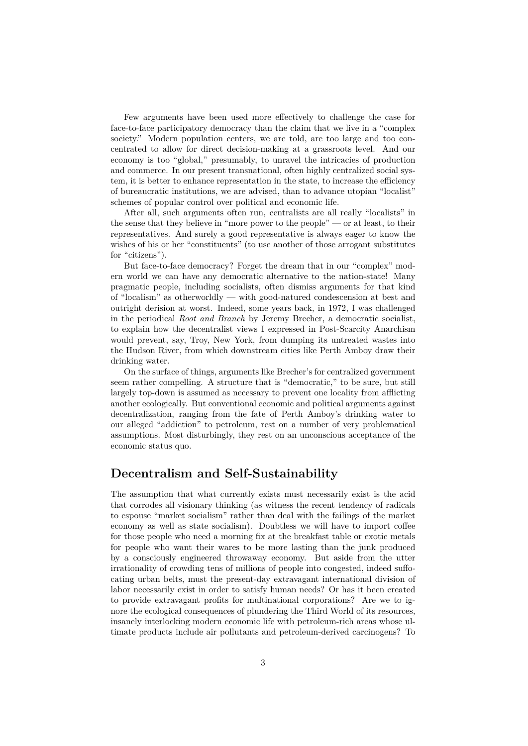Few arguments have been used more effectively to challenge the case for face-to-face participatory democracy than the claim that we live in a "complex society." Modern population centers, we are told, are too large and too concentrated to allow for direct decision-making at a grassroots level. And our economy is too "global," presumably, to unravel the intricacies of production and commerce. In our present transnational, often highly centralized social system, it is better to enhance representation in the state, to increase the efficiency of bureaucratic institutions, we are advised, than to advance utopian "localist" schemes of popular control over political and economic life.

After all, such arguments often run, centralists are all really "localists" in the sense that they believe in "more power to the people" — or at least, to their representatives. And surely a good representative is always eager to know the wishes of his or her "constituents" (to use another of those arrogant substitutes for "citizens").

But face-to-face democracy? Forget the dream that in our "complex" modern world we can have any democratic alternative to the nation-state! Many pragmatic people, including socialists, often dismiss arguments for that kind of "localism" as otherworldly — with good-natured condescension at best and outright derision at worst. Indeed, some years back, in 1972, I was challenged in the periodical *Root and Branch* by Jeremy Brecher, a democratic socialist, to explain how the decentralist views I expressed in Post-Scarcity Anarchism would prevent, say, Troy, New York, from dumping its untreated wastes into the Hudson River, from which downstream cities like Perth Amboy draw their drinking water.

On the surface of things, arguments like Brecher's for centralized government seem rather compelling. A structure that is "democratic," to be sure, but still largely top-down is assumed as necessary to prevent one locality from afflicting another ecologically. But conventional economic and political arguments against decentralization, ranging from the fate of Perth Amboy's drinking water to our alleged "addiction" to petroleum, rest on a number of very problematical assumptions. Most disturbingly, they rest on an unconscious acceptance of the economic status quo.

#### <span id="page-2-0"></span>**Decentralism and Self-Sustainability**

The assumption that what currently exists must necessarily exist is the acid that corrodes all visionary thinking (as witness the recent tendency of radicals to espouse "market socialism" rather than deal with the failings of the market economy as well as state socialism). Doubtless we will have to import coffee for those people who need a morning fix at the breakfast table or exotic metals for people who want their wares to be more lasting than the junk produced by a consciously engineered throwaway economy. But aside from the utter irrationality of crowding tens of millions of people into congested, indeed suffocating urban belts, must the present-day extravagant international division of labor necessarily exist in order to satisfy human needs? Or has it been created to provide extravagant profits for multinational corporations? Are we to ignore the ecological consequences of plundering the Third World of its resources, insanely interlocking modern economic life with petroleum-rich areas whose ultimate products include air pollutants and petroleum-derived carcinogens? To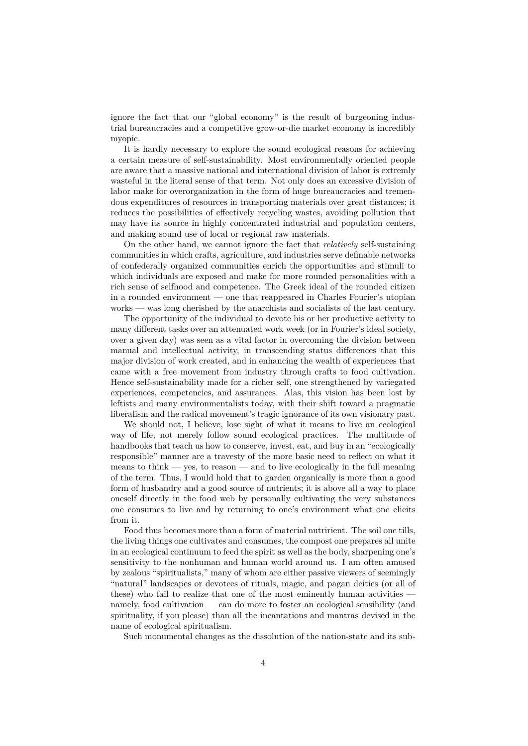ignore the fact that our "global economy" is the result of burgeoning industrial bureaucracies and a competitive grow-or-die market economy is incredibly myopic.

It is hardly necessary to explore the sound ecological reasons for achieving a certain measure of self-sustainability. Most environmentally oriented people are aware that a massive national and international division of labor is extremly wasteful in the literal sense of that term. Not only does an excessive division of labor make for overorganization in the form of huge bureaucracies and tremendous expenditures of resources in transporting materials over great distances; it reduces the possibilities of effectively recycling wastes, avoiding pollution that may have its source in highly concentrated industrial and population centers, and making sound use of local or regional raw materials.

On the other hand, we cannot ignore the fact that *relatively* self-sustaining communities in which crafts, agriculture, and industries serve definable networks of confederally organized communities enrich the opportunities and stimuli to which individuals are exposed and make for more rounded personalities with a rich sense of selfhood and competence. The Greek ideal of the rounded citizen in a rounded environment — one that reappeared in Charles Fourier's utopian works — was long cherished by the anarchists and socialists of the last century.

The opportunity of the individual to devote his or her productive activity to many different tasks over an attenuated work week (or in Fourier's ideal society, over a given day) was seen as a vital factor in overcoming the division between manual and intellectual activity, in transcending status differences that this major division of work created, and in enhancing the wealth of experiences that came with a free movement from industry through crafts to food cultivation. Hence self-sustainability made for a richer self, one strengthened by variegated experiences, competencies, and assurances. Alas, this vision has been lost by leftists and many environmentalists today, with their shift toward a pragmatic liberalism and the radical movement's tragic ignorance of its own visionary past.

We should not, I believe, lose sight of what it means to live an ecological way of life, not merely follow sound ecological practices. The multitude of handbooks that teach us how to conserve, invest, eat, and buy in an "ecologically responsible" manner are a travesty of the more basic need to reflect on what it means to think — yes, to reason — and to live ecologically in the full meaning of the term. Thus, I would hold that to garden organically is more than a good form of husbandry and a good source of nutrients; it is above all a way to place oneself directly in the food web by personally cultivating the very substances one consumes to live and by returning to one's environment what one elicits from it.

Food thus becomes more than a form of material nutririent. The soil one tills, the living things one cultivates and consumes, the compost one prepares all unite in an ecological continuum to feed the spirit as well as the body, sharpening one's sensitivity to the nonhuman and human world around us. I am often amused by zealous "spiritualists," many of whom are either passive viewers of seemingly "natural" landscapes or devotees of rituals, magic, and pagan deities (or all of these) who fail to realize that one of the most eminently human activities namely, food cultivation — can do more to foster an ecological sensibility (and spirituality, if you please) than all the incantations and mantras devised in the name of ecological spiritualism.

Such monumental changes as the dissolution of the nation-state and its sub-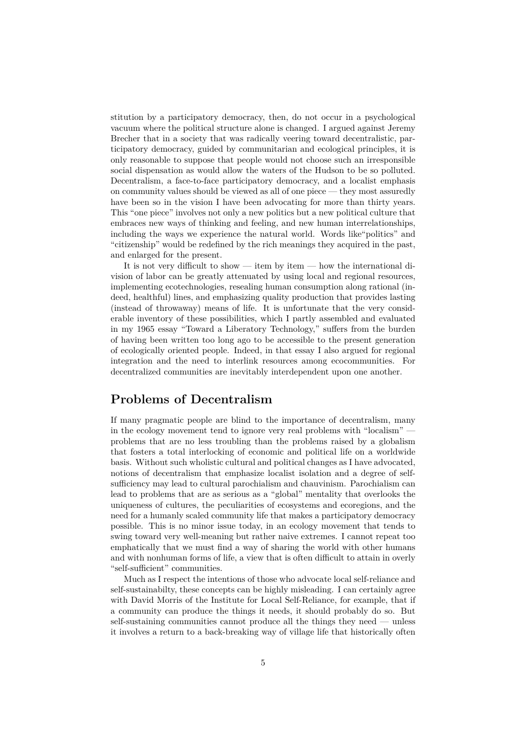stitution by a participatory democracy, then, do not occur in a psychological vacuum where the political structure alone is changed. I argued against Jeremy Brecher that in a society that was radically veering toward decentralistic, participatory democracy, guided by communitarian and ecological principles, it is only reasonable to suppose that people would not choose such an irresponsible social dispensation as would allow the waters of the Hudson to be so polluted. Decentralism, a face-to-face participatory democracy, and a localist emphasis on community values should be viewed as all of one piece — they most assuredly have been so in the vision I have been advocating for more than thirty years. This "one piece" involves not only a new politics but a new political culture that embraces new ways of thinking and feeling, and new human interrelationships, including the ways we experience the natural world. Words like"politics" and "citizenship" would be redefined by the rich meanings they acquired in the past, and enlarged for the present.

It is not very difficult to show — item by item — how the international division of labor can be greatly attenuated by using local and regional resources, implementing ecotechnologies, resealing human consumption along rational (indeed, healthful) lines, and emphasizing quality production that provides lasting (instead of throwaway) means of life. It is unfortunate that the very considerable inventory of these possibilities, which I partly assembled and evaluated in my 1965 essay "Toward a Liberatory Technology," suffers from the burden of having been written too long ago to be accessible to the present generation of ecologically oriented people. Indeed, in that essay I also argued for regional integration and the need to interlink resources among ecocommunities. For decentralized communities are inevitably interdependent upon one another.

#### <span id="page-4-0"></span>**Problems of Decentralism**

If many pragmatic people are blind to the importance of decentralism, many in the ecology movement tend to ignore very real problems with "localism" problems that are no less troubling than the problems raised by a globalism that fosters a total interlocking of economic and political life on a worldwide basis. Without such wholistic cultural and political changes as I have advocated, notions of decentralism that emphasize localist isolation and a degree of selfsufficiency may lead to cultural parochialism and chauvinism. Parochialism can lead to problems that are as serious as a "global" mentality that overlooks the uniqueness of cultures, the peculiarities of ecosystems and ecoregions, and the need for a humanly scaled community life that makes a participatory democracy possible. This is no minor issue today, in an ecology movement that tends to swing toward very well-meaning but rather naive extremes. I cannot repeat too emphatically that we must find a way of sharing the world with other humans and with nonhuman forms of life, a view that is often difficult to attain in overly "self-sufficient" communities.

Much as I respect the intentions of those who advocate local self-reliance and self-sustainabilty, these concepts can be highly misleading. I can certainly agree with David Morris of the Institute for Local Self-Reliance, for example, that if a community can produce the things it needs, it should probably do so. But self-sustaining communities cannot produce all the things they need — unless it involves a return to a back-breaking way of village life that historically often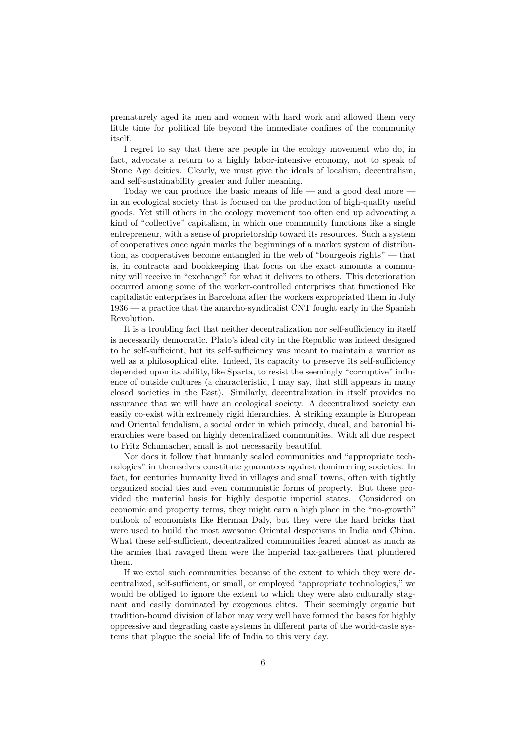prematurely aged its men and women with hard work and allowed them very little time for political life beyond the immediate confines of the community itself.

I regret to say that there are people in the ecology movement who do, in fact, advocate a return to a highly labor-intensive economy, not to speak of Stone Age deities. Clearly, we must give the ideals of localism, decentralism, and self-sustainability greater and fuller meaning.

Today we can produce the basic means of life — and a good deal more in an ecological society that is focused on the production of high-quality useful goods. Yet still others in the ecology movement too often end up advocating a kind of "collective" capitalism, in which one community functions like a single entrepreneur, with a sense of proprietorship toward its resources. Such a system of cooperatives once again marks the beginnings of a market system of distribution, as cooperatives become entangled in the web of "bourgeois rights" — that is, in contracts and bookkeeping that focus on the exact amounts a community will receive in "exchange" for what it delivers to others. This deterioration occurred among some of the worker-controlled enterprises that functioned like capitalistic enterprises in Barcelona after the workers expropriated them in July 1936 — a practice that the anarcho-syndicalist CNT fought early in the Spanish Revolution.

It is a troubling fact that neither decentralization nor self-sufficiency in itself is necessarily democratic. Plato's ideal city in the Republic was indeed designed to be self-sufficient, but its self-sufficiency was meant to maintain a warrior as well as a philosophical elite. Indeed, its capacity to preserve its self-sufficiency depended upon its ability, like Sparta, to resist the seemingly "corruptive" influence of outside cultures (a characteristic, I may say, that still appears in many closed societies in the East). Similarly, decentralization in itself provides no assurance that we will have an ecological society. A decentralized society can easily co-exist with extremely rigid hierarchies. A striking example is European and Oriental feudalism, a social order in which princely, ducal, and baronial hierarchies were based on highly decentralized communities. With all due respect to Fritz Schumacher, small is not necessarily beautiful.

Nor does it follow that humanly scaled communities and "appropriate technologies" in themselves constitute guarantees against domineering societies. In fact, for centuries humanity lived in villages and small towns, often with tightly organized social ties and even communistic forms of property. But these provided the material basis for highly despotic imperial states. Considered on economic and property terms, they might earn a high place in the "no-growth" outlook of economists like Herman Daly, but they were the hard bricks that were used to build the most awesome Oriental despotisms in India and China. What these self-sufficient, decentralized communities feared almost as much as the armies that ravaged them were the imperial tax-gatherers that plundered them.

If we extol such communities because of the extent to which they were decentralized, self-sufficient, or small, or employed "appropriate technologies," we would be obliged to ignore the extent to which they were also culturally stagnant and easily dominated by exogenous elites. Their seemingly organic but tradition-bound division of labor may very well have formed the bases for highly oppressive and degrading caste systems in different parts of the world-caste systems that plague the social life of India to this very day.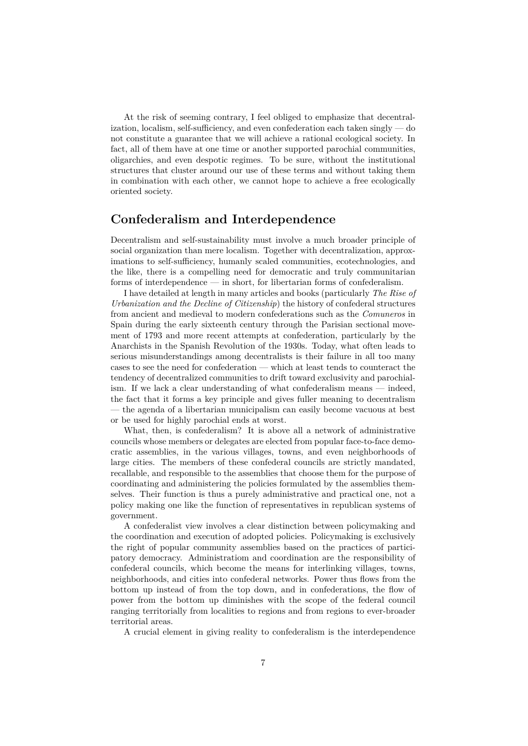At the risk of seeming contrary, I feel obliged to emphasize that decentralization, localism, self-sufficiency, and even confederation each taken singly — do not constitute a guarantee that we will achieve a rational ecological society. In fact, all of them have at one time or another supported parochial communities, oligarchies, and even despotic regimes. To be sure, without the institutional structures that cluster around our use of these terms and without taking them in combination with each other, we cannot hope to achieve a free ecologically oriented society.

#### <span id="page-6-0"></span>**Confederalism and Interdependence**

Decentralism and self-sustainability must involve a much broader principle of social organization than mere localism. Together with decentralization, approximations to self-sufficiency, humanly scaled communities, ecotechnologies, and the like, there is a compelling need for democratic and truly communitarian forms of interdependence — in short, for libertarian forms of confederalism.

I have detailed at length in many articles and books (particularly *The Rise of Urbanization and the Decline of Citizenship*) the history of confederal structures from ancient and medieval to modern confederations such as the *Comuneros* in Spain during the early sixteenth century through the Parisian sectional movement of 1793 and more recent attempts at confederation, particularly by the Anarchists in the Spanish Revolution of the 1930s. Today, what often leads to serious misunderstandings among decentralists is their failure in all too many cases to see the need for confederation — which at least tends to counteract the tendency of decentralized communities to drift toward exclusivity and parochialism. If we lack a clear understanding of what confederalism means — indeed, the fact that it forms a key principle and gives fuller meaning to decentralism — the agenda of a libertarian municipalism can easily become vacuous at best or be used for highly parochial ends at worst.

What, then, is confederalism? It is above all a network of administrative councils whose members or delegates are elected from popular face-to-face democratic assemblies, in the various villages, towns, and even neighborhoods of large cities. The members of these confederal councils are strictly mandated, recallable, and responsible to the assemblies that choose them for the purpose of coordinating and administering the policies formulated by the assemblies themselves. Their function is thus a purely administrative and practical one, not a policy making one like the function of representatives in republican systems of government.

A confederalist view involves a clear distinction between policymaking and the coordination and execution of adopted policies. Policymaking is exclusively the right of popular community assemblies based on the practices of participatory democracy. Administratiom and coordination are the responsibility of confederal councils, which become the means for interlinking villages, towns, neighborhoods, and cities into confederal networks. Power thus flows from the bottom up instead of from the top down, and in confederations, the flow of power from the bottom up diminishes with the scope of the federal council ranging territorially from localities to regions and from regions to ever-broader territorial areas.

A crucial element in giving reality to confederalism is the interdependence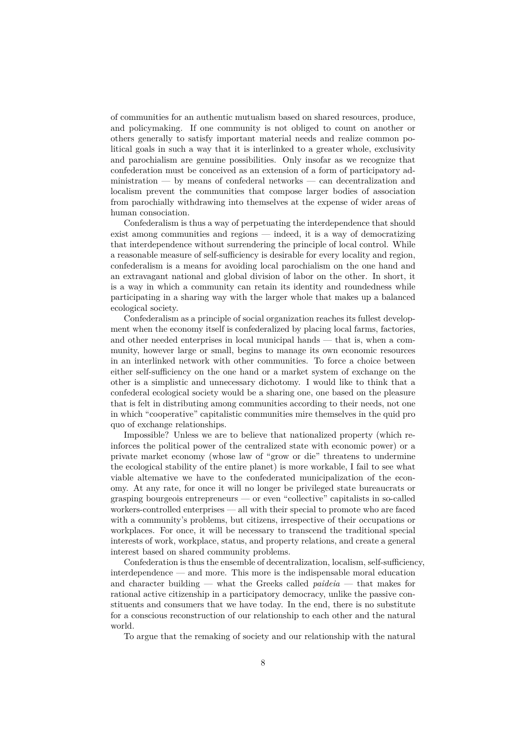of communities for an authentic mutualism based on shared resources, produce, and policymaking. If one community is not obliged to count on another or others generally to satisfy important material needs and realize common political goals in such a way that it is interlinked to a greater whole, exclusivity and parochialism are genuine possibilities. Only insofar as we recognize that confederation must be conceived as an extension of a form of participatory administration — by means of confederal networks — can decentralization and localism prevent the communities that compose larger bodies of association from parochially withdrawing into themselves at the expense of wider areas of human consociation.

Confederalism is thus a way of perpetuating the interdependence that should exist among communities and regions — indeed, it is a way of democratizing that interdependence without surrendering the principle of local control. While a reasonable measure of self-sufficiency is desirable for every locality and region, confederalism is a means for avoiding local parochialism on the one hand and an extravagant national and global division of labor on the other. In short, it is a way in which a community can retain its identity and roundedness while participating in a sharing way with the larger whole that makes up a balanced ecological society.

Confederalism as a principle of social organization reaches its fullest development when the economy itself is confederalized by placing local farms, factories, and other needed enterprises in local municipal hands — that is, when a community, however large or small, begins to manage its own economic resources in an interlinked network with other communities. To force a choice between either self-sufficiency on the one hand or a market system of exchange on the other is a simplistic and unnecessary dichotomy. I would like to think that a confederal ecological society would be a sharing one, one based on the pleasure that is felt in distributing among communities according to their needs, not one in which "cooperative" capitalistic communities mire themselves in the quid pro quo of exchange relationships.

Impossible? Unless we are to believe that nationalized property (which reinforces the political power of the centralized state with economic power) or a private market economy (whose law of "grow or die" threatens to undermine the ecological stability of the entire planet) is more workable, I fail to see what viable altemative we have to the confederated municipalization of the economy. At any rate, for once it will no longer be privileged state bureaucrats or grasping bourgeois entrepreneurs — or even "collective" capitalists in so-called workers-controlled enterprises — all with their special to promote who are faced with a community's problems, but citizens, irrespective of their occupations or workplaces. For once, it will be necessary to transcend the traditional special interests of work, workplace, status, and property relations, and create a general interest based on shared community problems.

Confederation is thus the ensemble of decentralization, localism, self-sufficiency, interdependence — and more. This more is the indispensable moral education and character building — what the Greeks called *paideia* — that makes for rational active citizenship in a participatory democracy, unlike the passive constituents and consumers that we have today. In the end, there is no substitute for a conscious reconstruction of our relationship to each other and the natural world.

To argue that the remaking of society and our relationship with the natural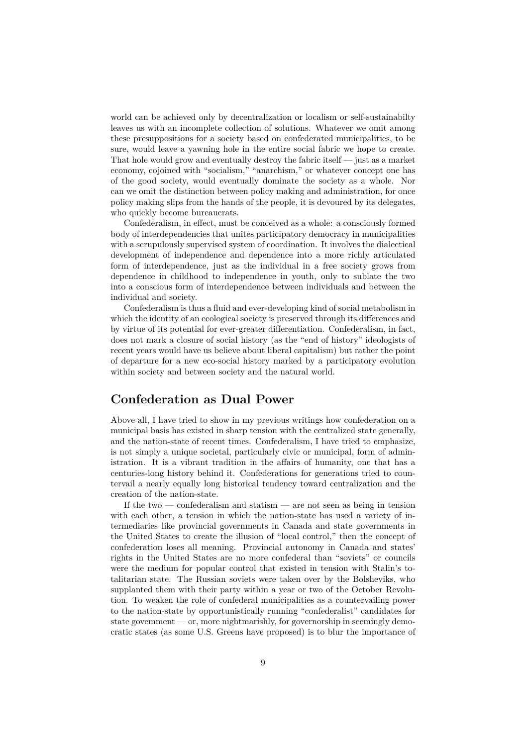world can be achieved only by decentralization or localism or self-sustainabilty leaves us with an incomplete collection of solutions. Whatever we omit among these presuppositions for a society based on confederated municipalities, to be sure, would leave a yawning hole in the entire social fabric we hope to create. That hole would grow and eventually destroy the fabric itself — just as a market economy, cojoined with "socialism," "anarchism," or whatever concept one has of the good society, would eventually dominate the society as a whole. Nor can we omit the distinction between policy making and administration, for once policy making slips from the hands of the people, it is devoured by its delegates, who quickly become bureaucrats.

Confederalism, in effect, must be conceived as a whole: a consciously formed body of interdependencies that unites participatory democracy in municipalities with a scrupulously supervised system of coordination. It involves the dialectical development of independence and dependence into a more richly articulated form of interdependence, just as the individual in a free society grows from dependence in childhood to independence in youth, only to sublate the two into a conscious form of interdependence between individuals and between the individual and society.

Confederalism is thus a fluid and ever-developing kind of social metabolism in which the identity of an ecological society is preserved through its differences and by virtue of its potential for ever-greater differentiation. Confederalism, in fact, does not mark a closure of social history (as the "end of history" ideologists of recent years would have us believe about liberal capitalism) but rather the point of departure for a new eco-social history marked by a participatory evolution within society and between society and the natural world.

### <span id="page-8-0"></span>**Confederation as Dual Power**

Above all, I have tried to show in my previous writings how confederation on a municipal basis has existed in sharp tension with the centralized state generally, and the nation-state of recent times. Confederalism, I have tried to emphasize, is not simply a unique societal, particularly civic or municipal, form of administration. It is a vibrant tradition in the affairs of humanity, one that has a centuries-long history behind it. Confederations for generations tried to countervail a nearly equally long historical tendency toward centralization and the creation of the nation-state.

If the two — confederalism and statism — are not seen as being in tension with each other, a tension in which the nation-state has used a variety of intermediaries like provincial governments in Canada and state governments in the United States to create the illusion of "local control," then the concept of confederation loses all meaning. Provincial autonomy in Canada and states' rights in the United States are no more confederal than "soviets" or councils were the medium for popular control that existed in tension with Stalin's totalitarian state. The Russian soviets were taken over by the Bolsheviks, who supplanted them with their party within a year or two of the October Revolution. To weaken the role of confederal municipalities as a countervailing power to the nation-state by opportunistically running "confederalist" candidates for state govemment — or, more nightmarishly, for governorship in seemingly democratic states (as some U.S. Greens have proposed) is to blur the importance of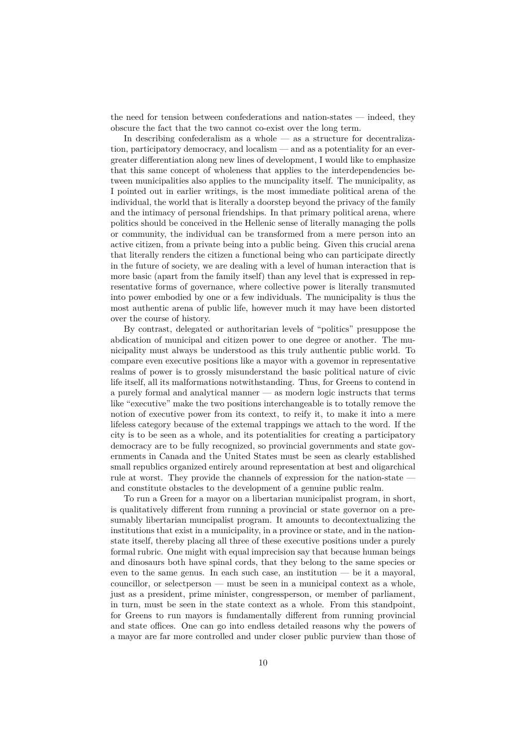the need for tension between confederations and nation-states — indeed, they obscure the fact that the two cannot co-exist over the long term.

In describing confederalism as a whole — as a structure for decentralization, participatory democracy, and localism — and as a potentiality for an evergreater differentiation along new lines of development, I would like to emphasize that this same concept of wholeness that applies to the interdependencies between municipalities also applies to the muncipality itself. The municipality, as I pointed out in earlier writings, is the most immediate political arena of the individual, the world that is literally a doorstep beyond the privacy of the family and the intimacy of personal friendships. In that primary political arena, where politics should be conceived in the Hellenic sense of literally managing the polls or community, the individual can be transformed from a mere person into an active citizen, from a private being into a public being. Given this crucial arena that literally renders the citizen a functional being who can participate directly in the future of society, we are dealing with a level of human interaction that is more basic (apart from the family itself) than any level that is expressed in representative forms of governance, where collective power is literally transmuted into power embodied by one or a few individuals. The municipality is thus the most authentic arena of public life, however much it may have been distorted over the course of history.

By contrast, delegated or authoritarian levels of "politics" presuppose the abdication of municipal and citizen power to one degree or another. The municipality must always be understood as this truly authentic public world. To compare even executive positions like a mayor with a govemor in representative realms of power is to grossly misunderstand the basic political nature of civic life itself, all its malformations notwithstanding. Thus, for Greens to contend in a purely formal and analytical manner — as modern logic instructs that terms like "executive" make the two positions interchangeable is to totally remove the notion of executive power from its context, to reify it, to make it into a mere lifeless category because of the extemal trappings we attach to the word. If the city is to be seen as a whole, and its potentialities for creating a participatory democracy are to be fully recognized, so provincial governments and state governments in Canada and the United States must be seen as clearly established small republics organized entirely around representation at best and oligarchical rule at worst. They provide the channels of expression for the nation-state and constitute obstacles to the development of a genuine public realm.

To run a Green for a mayor on a libertarian municipalist program, in short, is qualitatively different from running a provincial or state governor on a presumably libertarian muncipalist program. It amounts to decontextualizing the institutions that exist in a municipality, in a province or state, and in the nationstate itself, thereby placing all three of these executive positions under a purely formal rubric. One might with equal imprecision say that because human beings and dinosaurs both have spinal cords, that they belong to the same species or even to the same genus. In each such case, an institution — be it a mayoral, councillor, or selectperson — must be seen in a municipal context as a whole, just as a president, prime minister, congressperson, or member of parliament, in turn, must be seen in the state context as a whole. From this standpoint, for Greens to run mayors is fundamentally different from running provincial and state offices. One can go into endless detailed reasons why the powers of a mayor are far more controlled and under closer public purview than those of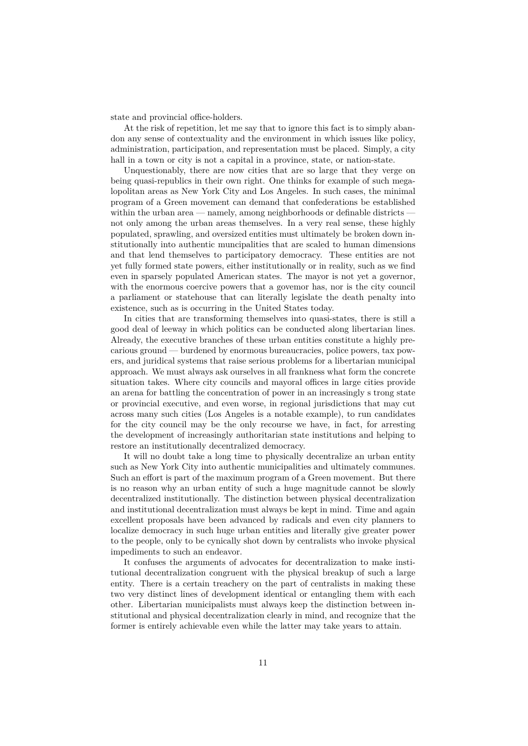state and provincial office-holders.

At the risk of repetition, let me say that to ignore this fact is to simply abandon any sense of contextuality and the environment in which issues like policy, administration, participation, and representation must be placed. Simply, a city hall in a town or city is not a capital in a province, state, or nation-state.

Unquestionably, there are now cities that are so large that they verge on being quasi-republics in their own right. One thinks for example of such megalopolitan areas as New York City and Los Angeles. In such cases, the minimal program of a Green movement can demand that confederations be established within the urban area — namely, among neighborhoods or definable districts not only among the urban areas themselves. In a very real sense, these highly populated, sprawling, and oversized entities must ultimately be broken down institutionally into authentic muncipalities that are scaled to human dimensions and that lend themselves to participatory democracy. These entities are not yet fully formed state powers, either institutionally or in reality, such as we find even in sparsely populated American states. The mayor is not yet a governor, with the enormous coercive powers that a govemor has, nor is the city council a parliament or statehouse that can literally legislate the death penalty into existence, such as is occurring in the United States today.

In cities that are transforming themselves into quasi-states, there is still a good deal of leeway in which politics can be conducted along libertarian lines. Already, the executive branches of these urban entities constitute a highly precarious ground — burdened by enormous bureaucracies, police powers, tax powers, and juridical systems that raise serious problems for a libertarian municipal approach. We must always ask ourselves in all frankness what form the concrete situation takes. Where city councils and mayoral offices in large cities provide an arena for battling the concentration of power in an increasingly s trong state or provincial executive, and even worse, in regional jurisdictions that may cut across many such cities (Los Angeles is a notable example), to run candidates for the city council may be the only recourse we have, in fact, for arresting the development of increasingly authoritarian state institutions and helping to restore an institutionally decentralized democracy.

It will no doubt take a long time to physically decentralize an urban entity such as New York City into authentic municipalities and ultimately communes. Such an effort is part of the maximum program of a Green movement. But there is no reason why an urban entity of such a huge magnitude cannot be slowly decentralized institutionally. The distinction between physical decentralization and institutional decentralization must always be kept in mind. Time and again excellent proposals have been advanced by radicals and even city planners to localize democracy in such huge urban entities and literally give greater power to the people, only to be cynically shot down by centralists who invoke physical impediments to such an endeavor.

It confuses the arguments of advocates for decentralization to make institutional decentralization congruent with the physical breakup of such a large entity. There is a certain treachery on the part of centralists in making these two very distinct lines of development identical or entangling them with each other. Libertarian municipalists must always keep the distinction between institutional and physical decentralization clearly in mind, and recognize that the former is entirely achievable even while the latter may take years to attain.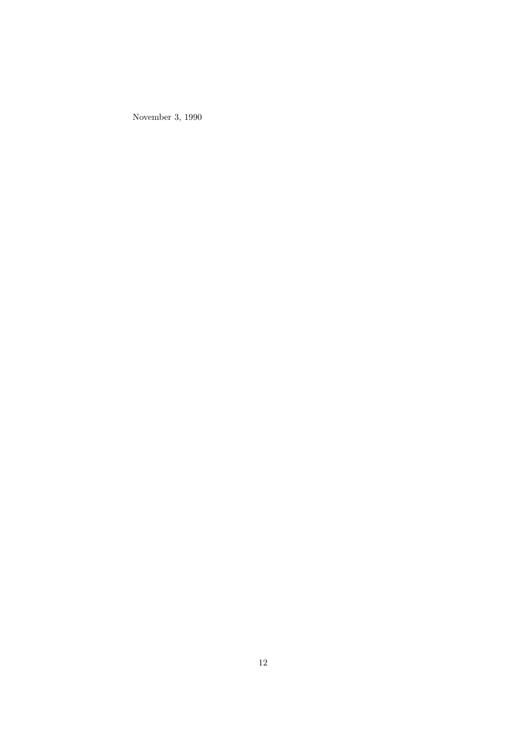November 3, 1990